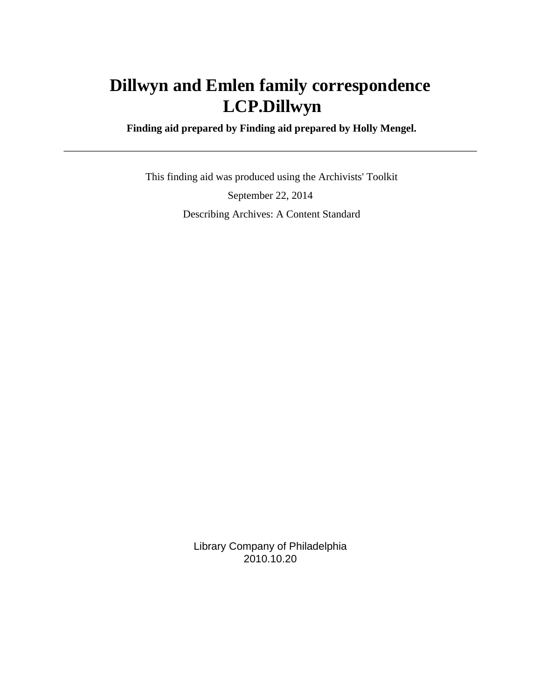# **Dillwyn and Emlen family correspondence LCP.Dillwyn**

 **Finding aid prepared by Finding aid prepared by Holly Mengel.**

 This finding aid was produced using the Archivists' Toolkit September 22, 2014 Describing Archives: A Content Standard

> Library Company of Philadelphia 2010.10.20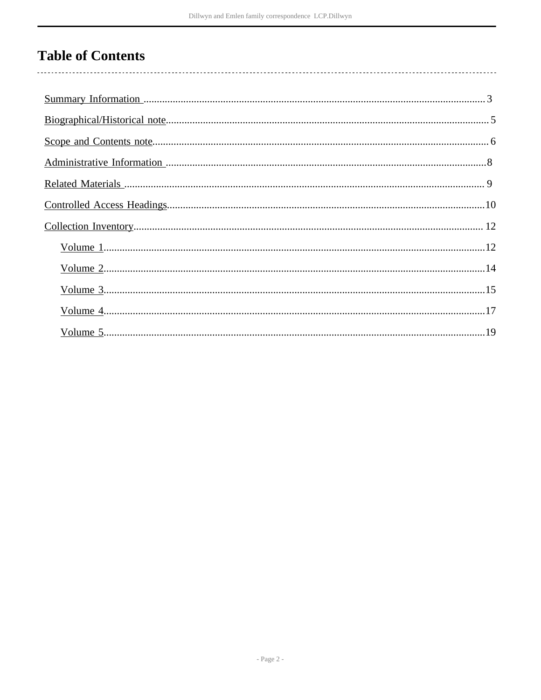# **Table of Contents**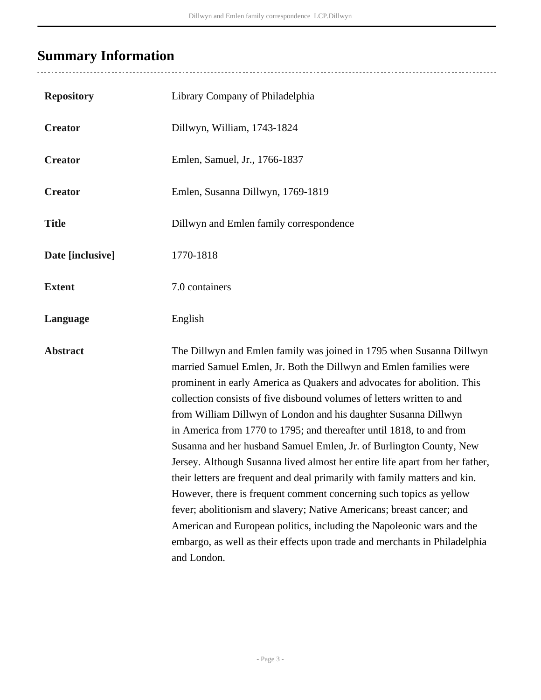# <span id="page-2-0"></span>**Summary Information**

| <b>Repository</b> | Library Company of Philadelphia                                                                                                                                                                                                                                                                                                                                                                                                                                                                                                                                                                                                                                                                                                                                                                                                                                                                                                                                                                       |
|-------------------|-------------------------------------------------------------------------------------------------------------------------------------------------------------------------------------------------------------------------------------------------------------------------------------------------------------------------------------------------------------------------------------------------------------------------------------------------------------------------------------------------------------------------------------------------------------------------------------------------------------------------------------------------------------------------------------------------------------------------------------------------------------------------------------------------------------------------------------------------------------------------------------------------------------------------------------------------------------------------------------------------------|
| <b>Creator</b>    | Dillwyn, William, 1743-1824                                                                                                                                                                                                                                                                                                                                                                                                                                                                                                                                                                                                                                                                                                                                                                                                                                                                                                                                                                           |
| <b>Creator</b>    | Emlen, Samuel, Jr., 1766-1837                                                                                                                                                                                                                                                                                                                                                                                                                                                                                                                                                                                                                                                                                                                                                                                                                                                                                                                                                                         |
| <b>Creator</b>    | Emlen, Susanna Dillwyn, 1769-1819                                                                                                                                                                                                                                                                                                                                                                                                                                                                                                                                                                                                                                                                                                                                                                                                                                                                                                                                                                     |
| <b>Title</b>      | Dillwyn and Emlen family correspondence                                                                                                                                                                                                                                                                                                                                                                                                                                                                                                                                                                                                                                                                                                                                                                                                                                                                                                                                                               |
| Date [inclusive]  | 1770-1818                                                                                                                                                                                                                                                                                                                                                                                                                                                                                                                                                                                                                                                                                                                                                                                                                                                                                                                                                                                             |
| <b>Extent</b>     | 7.0 containers                                                                                                                                                                                                                                                                                                                                                                                                                                                                                                                                                                                                                                                                                                                                                                                                                                                                                                                                                                                        |
| Language          | English                                                                                                                                                                                                                                                                                                                                                                                                                                                                                                                                                                                                                                                                                                                                                                                                                                                                                                                                                                                               |
| <b>Abstract</b>   | The Dillwyn and Emlen family was joined in 1795 when Susanna Dillwyn<br>married Samuel Emlen, Jr. Both the Dillwyn and Emlen families were<br>prominent in early America as Quakers and advocates for abolition. This<br>collection consists of five disbound volumes of letters written to and<br>from William Dillwyn of London and his daughter Susanna Dillwyn<br>in America from 1770 to 1795; and thereafter until 1818, to and from<br>Susanna and her husband Samuel Emlen, Jr. of Burlington County, New<br>Jersey. Although Susanna lived almost her entire life apart from her father,<br>their letters are frequent and deal primarily with family matters and kin.<br>However, there is frequent comment concerning such topics as yellow<br>fever; abolitionism and slavery; Native Americans; breast cancer; and<br>American and European politics, including the Napoleonic wars and the<br>embargo, as well as their effects upon trade and merchants in Philadelphia<br>and London. |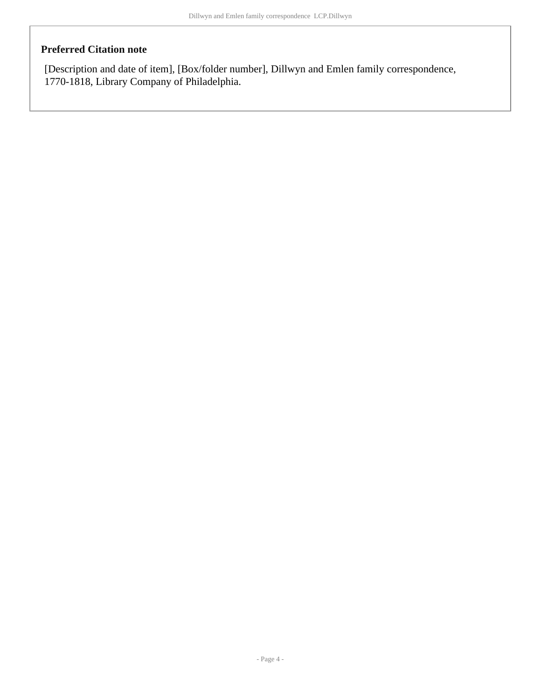## **Preferred Citation note**

[Description and date of item], [Box/folder number], Dillwyn and Emlen family correspondence, 1770-1818, Library Company of Philadelphia.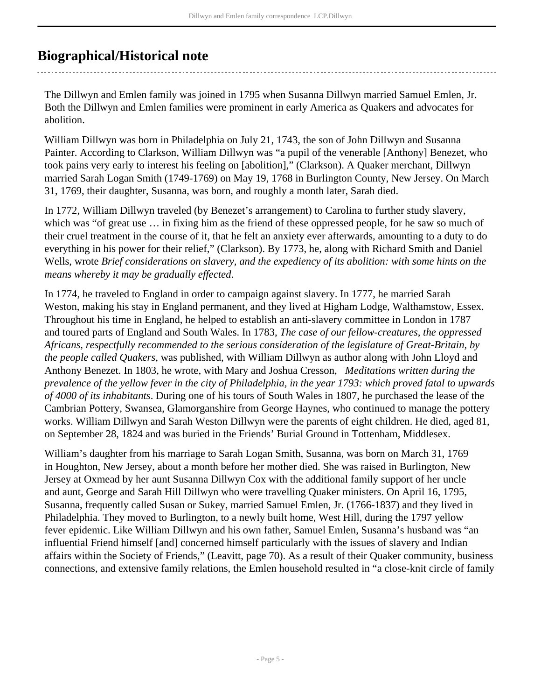## <span id="page-4-0"></span>**Biographical/Historical note**

The Dillwyn and Emlen family was joined in 1795 when Susanna Dillwyn married Samuel Emlen, Jr. Both the Dillwyn and Emlen families were prominent in early America as Quakers and advocates for abolition.

William Dillwyn was born in Philadelphia on July 21, 1743, the son of John Dillwyn and Susanna Painter. According to Clarkson, William Dillwyn was "a pupil of the venerable [Anthony] Benezet, who took pains very early to interest his feeling on [abolition]," (Clarkson). A Quaker merchant, Dillwyn married Sarah Logan Smith (1749-1769) on May 19, 1768 in Burlington County, New Jersey. On March 31, 1769, their daughter, Susanna, was born, and roughly a month later, Sarah died.

In 1772, William Dillwyn traveled (by Benezet's arrangement) to Carolina to further study slavery, which was "of great use … in fixing him as the friend of these oppressed people, for he saw so much of their cruel treatment in the course of it, that he felt an anxiety ever afterwards, amounting to a duty to do everything in his power for their relief," (Clarkson). By 1773, he, along with Richard Smith and Daniel Wells, wrote *Brief considerations on slavery, and the expediency of its abolition: with some hints on the means whereby it may be gradually effected*.

In 1774, he traveled to England in order to campaign against slavery. In 1777, he married Sarah Weston, making his stay in England permanent, and they lived at Higham Lodge, Walthamstow, Essex. Throughout his time in England, he helped to establish an anti-slavery committee in London in 1787 and toured parts of England and South Wales. In 1783, *The case of our fellow-creatures, the oppressed Africans, respectfully recommended to the serious consideration of the legislature of Great-Britain, by the people called Quakers*, was published, with William Dillwyn as author along with John Lloyd and Anthony Benezet. In 1803, he wrote, with Mary and Joshua Cresson, *Meditations written during the prevalence of the yellow fever in the city of Philadelphia, in the year 1793: which proved fatal to upwards of 4000 of its inhabitants*. During one of his tours of South Wales in 1807, he purchased the lease of the Cambrian Pottery, Swansea, Glamorganshire from George Haynes, who continued to manage the pottery works. William Dillwyn and Sarah Weston Dillwyn were the parents of eight children. He died, aged 81, on September 28, 1824 and was buried in the Friends' Burial Ground in Tottenham, Middlesex.

William's daughter from his marriage to Sarah Logan Smith, Susanna, was born on March 31, 1769 in Houghton, New Jersey, about a month before her mother died. She was raised in Burlington, New Jersey at Oxmead by her aunt Susanna Dillwyn Cox with the additional family support of her uncle and aunt, George and Sarah Hill Dillwyn who were travelling Quaker ministers. On April 16, 1795, Susanna, frequently called Susan or Sukey, married Samuel Emlen, Jr. (1766-1837) and they lived in Philadelphia. They moved to Burlington, to a newly built home, West Hill, during the 1797 yellow fever epidemic. Like William Dillwyn and his own father, Samuel Emlen, Susanna's husband was "an influential Friend himself [and] concerned himself particularly with the issues of slavery and Indian affairs within the Society of Friends," (Leavitt, page 70). As a result of their Quaker community, business connections, and extensive family relations, the Emlen household resulted in "a close-knit circle of family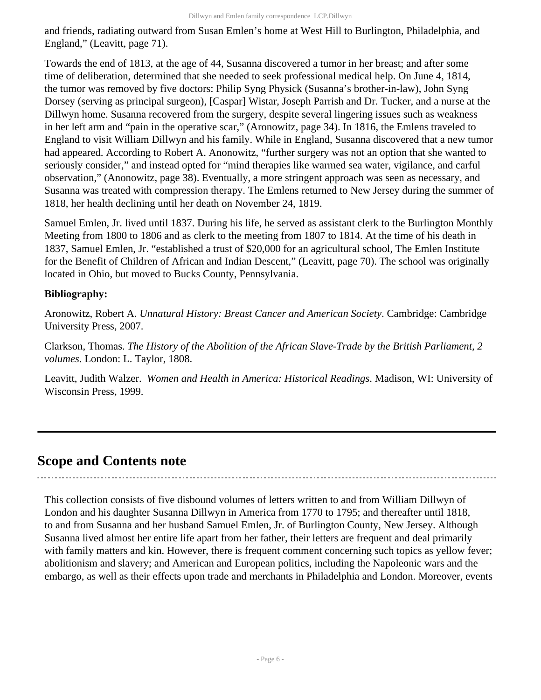and friends, radiating outward from Susan Emlen's home at West Hill to Burlington, Philadelphia, and England," (Leavitt, page 71).

Towards the end of 1813, at the age of 44, Susanna discovered a tumor in her breast; and after some time of deliberation, determined that she needed to seek professional medical help. On June 4, 1814, the tumor was removed by five doctors: Philip Syng Physick (Susanna's brother-in-law), John Syng Dorsey (serving as principal surgeon), [Caspar] Wistar, Joseph Parrish and Dr. Tucker, and a nurse at the Dillwyn home. Susanna recovered from the surgery, despite several lingering issues such as weakness in her left arm and "pain in the operative scar," (Aronowitz, page 34). In 1816, the Emlens traveled to England to visit William Dillwyn and his family. While in England, Susanna discovered that a new tumor had appeared. According to Robert A. Anonowitz, "further surgery was not an option that she wanted to seriously consider," and instead opted for "mind therapies like warmed sea water, vigilance, and carful observation," (Anonowitz, page 38). Eventually, a more stringent approach was seen as necessary, and Susanna was treated with compression therapy. The Emlens returned to New Jersey during the summer of 1818, her health declining until her death on November 24, 1819.

Samuel Emlen, Jr. lived until 1837. During his life, he served as assistant clerk to the Burlington Monthly Meeting from 1800 to 1806 and as clerk to the meeting from 1807 to 1814. At the time of his death in 1837, Samuel Emlen, Jr. "established a trust of \$20,000 for an agricultural school, The Emlen Institute for the Benefit of Children of African and Indian Descent," (Leavitt, page 70). The school was originally located in Ohio, but moved to Bucks County, Pennsylvania.

## **Bibliography:**

Aronowitz, Robert A. *Unnatural History: Breast Cancer and American Society*. Cambridge: Cambridge University Press, 2007.

Clarkson, Thomas. *The History of the Abolition of the African Slave-Trade by the British Parliament, 2 volumes*. London: L. Taylor, 1808.

Leavitt, Judith Walzer. *Women and Health in America: Historical Readings*. Madison, WI: University of Wisconsin Press, 1999.

## <span id="page-5-0"></span>**Scope and Contents note**

This collection consists of five disbound volumes of letters written to and from William Dillwyn of London and his daughter Susanna Dillwyn in America from 1770 to 1795; and thereafter until 1818, to and from Susanna and her husband Samuel Emlen, Jr. of Burlington County, New Jersey. Although Susanna lived almost her entire life apart from her father, their letters are frequent and deal primarily with family matters and kin. However, there is frequent comment concerning such topics as yellow fever; abolitionism and slavery; and American and European politics, including the Napoleonic wars and the embargo, as well as their effects upon trade and merchants in Philadelphia and London. Moreover, events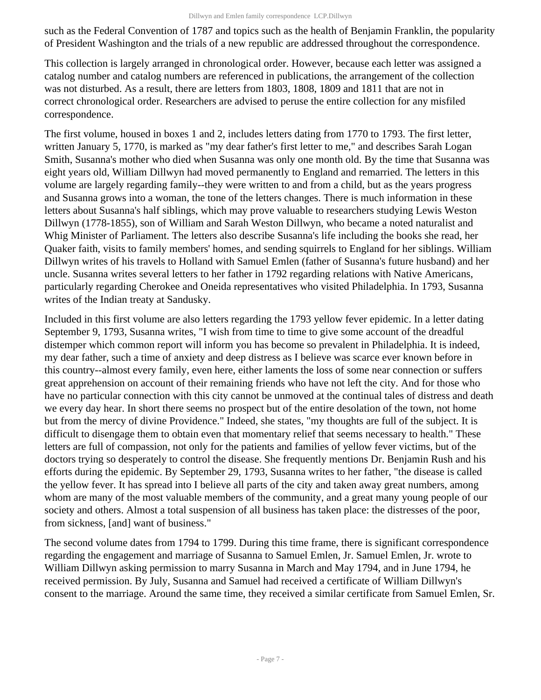such as the Federal Convention of 1787 and topics such as the health of Benjamin Franklin, the popularity of President Washington and the trials of a new republic are addressed throughout the correspondence.

This collection is largely arranged in chronological order. However, because each letter was assigned a catalog number and catalog numbers are referenced in publications, the arrangement of the collection was not disturbed. As a result, there are letters from 1803, 1808, 1809 and 1811 that are not in correct chronological order. Researchers are advised to peruse the entire collection for any misfiled correspondence.

The first volume, housed in boxes 1 and 2, includes letters dating from 1770 to 1793. The first letter, written January 5, 1770, is marked as "my dear father's first letter to me," and describes Sarah Logan Smith, Susanna's mother who died when Susanna was only one month old. By the time that Susanna was eight years old, William Dillwyn had moved permanently to England and remarried. The letters in this volume are largely regarding family--they were written to and from a child, but as the years progress and Susanna grows into a woman, the tone of the letters changes. There is much information in these letters about Susanna's half siblings, which may prove valuable to researchers studying Lewis Weston Dillwyn (1778-1855), son of William and Sarah Weston Dillwyn, who became a noted naturalist and Whig Minister of Parliament. The letters also describe Susanna's life including the books she read, her Quaker faith, visits to family members' homes, and sending squirrels to England for her siblings. William Dillwyn writes of his travels to Holland with Samuel Emlen (father of Susanna's future husband) and her uncle. Susanna writes several letters to her father in 1792 regarding relations with Native Americans, particularly regarding Cherokee and Oneida representatives who visited Philadelphia. In 1793, Susanna writes of the Indian treaty at Sandusky.

Included in this first volume are also letters regarding the 1793 yellow fever epidemic. In a letter dating September 9, 1793, Susanna writes, "I wish from time to time to give some account of the dreadful distemper which common report will inform you has become so prevalent in Philadelphia. It is indeed, my dear father, such a time of anxiety and deep distress as I believe was scarce ever known before in this country--almost every family, even here, either laments the loss of some near connection or suffers great apprehension on account of their remaining friends who have not left the city. And for those who have no particular connection with this city cannot be unmoved at the continual tales of distress and death we every day hear. In short there seems no prospect but of the entire desolation of the town, not home but from the mercy of divine Providence." Indeed, she states, "my thoughts are full of the subject. It is difficult to disengage them to obtain even that momentary relief that seems necessary to health." These letters are full of compassion, not only for the patients and families of yellow fever victims, but of the doctors trying so desperately to control the disease. She frequently mentions Dr. Benjamin Rush and his efforts during the epidemic. By September 29, 1793, Susanna writes to her father, "the disease is called the yellow fever. It has spread into I believe all parts of the city and taken away great numbers, among whom are many of the most valuable members of the community, and a great many young people of our society and others. Almost a total suspension of all business has taken place: the distresses of the poor, from sickness, [and] want of business."

The second volume dates from 1794 to 1799. During this time frame, there is significant correspondence regarding the engagement and marriage of Susanna to Samuel Emlen, Jr. Samuel Emlen, Jr. wrote to William Dillwyn asking permission to marry Susanna in March and May 1794, and in June 1794, he received permission. By July, Susanna and Samuel had received a certificate of William Dillwyn's consent to the marriage. Around the same time, they received a similar certificate from Samuel Emlen, Sr.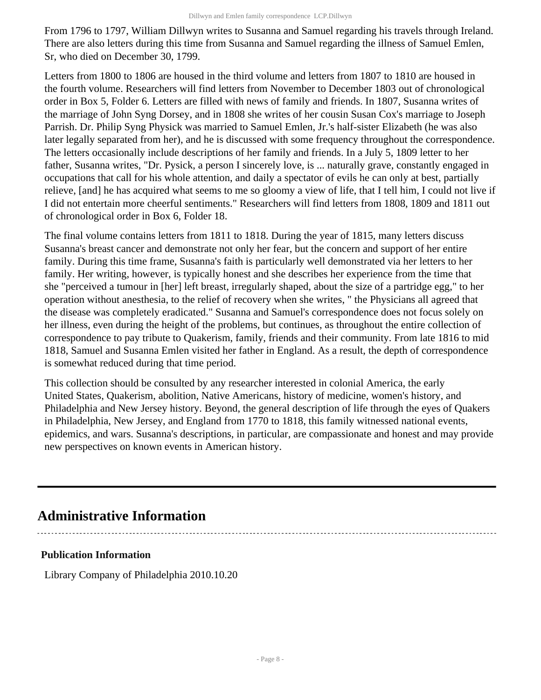From 1796 to 1797, William Dillwyn writes to Susanna and Samuel regarding his travels through Ireland. There are also letters during this time from Susanna and Samuel regarding the illness of Samuel Emlen, Sr, who died on December 30, 1799.

Letters from 1800 to 1806 are housed in the third volume and letters from 1807 to 1810 are housed in the fourth volume. Researchers will find letters from November to December 1803 out of chronological order in Box 5, Folder 6. Letters are filled with news of family and friends. In 1807, Susanna writes of the marriage of John Syng Dorsey, and in 1808 she writes of her cousin Susan Cox's marriage to Joseph Parrish. Dr. Philip Syng Physick was married to Samuel Emlen, Jr.'s half-sister Elizabeth (he was also later legally separated from her), and he is discussed with some frequency throughout the correspondence. The letters occasionally include descriptions of her family and friends. In a July 5, 1809 letter to her father, Susanna writes, "Dr. Pysick, a person I sincerely love, is ... naturally grave, constantly engaged in occupations that call for his whole attention, and daily a spectator of evils he can only at best, partially relieve, [and] he has acquired what seems to me so gloomy a view of life, that I tell him, I could not live if I did not entertain more cheerful sentiments." Researchers will find letters from 1808, 1809 and 1811 out of chronological order in Box 6, Folder 18.

The final volume contains letters from 1811 to 1818. During the year of 1815, many letters discuss Susanna's breast cancer and demonstrate not only her fear, but the concern and support of her entire family. During this time frame, Susanna's faith is particularly well demonstrated via her letters to her family. Her writing, however, is typically honest and she describes her experience from the time that she "perceived a tumour in [her] left breast, irregularly shaped, about the size of a partridge egg," to her operation without anesthesia, to the relief of recovery when she writes, " the Physicians all agreed that the disease was completely eradicated." Susanna and Samuel's correspondence does not focus solely on her illness, even during the height of the problems, but continues, as throughout the entire collection of correspondence to pay tribute to Quakerism, family, friends and their community. From late 1816 to mid 1818, Samuel and Susanna Emlen visited her father in England. As a result, the depth of correspondence is somewhat reduced during that time period.

This collection should be consulted by any researcher interested in colonial America, the early United States, Quakerism, abolition, Native Americans, history of medicine, women's history, and Philadelphia and New Jersey history. Beyond, the general description of life through the eyes of Quakers in Philadelphia, New Jersey, and England from 1770 to 1818, this family witnessed national events, epidemics, and wars. Susanna's descriptions, in particular, are compassionate and honest and may provide new perspectives on known events in American history.

## <span id="page-7-0"></span>**Administrative Information**

## **Publication Information**

Library Company of Philadelphia 2010.10.20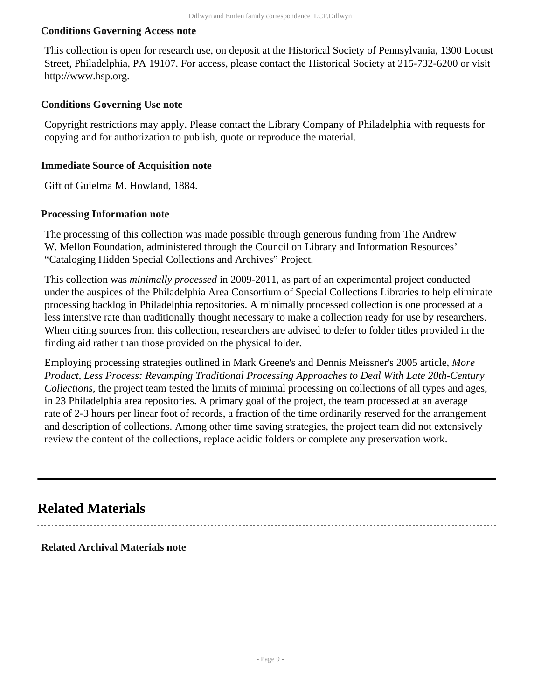#### **Conditions Governing Access note**

This collection is open for research use, on deposit at the Historical Society of Pennsylvania, 1300 Locust Street, Philadelphia, PA 19107. For access, please contact the Historical Society at 215-732-6200 or visit http://www.hsp.org.

#### **Conditions Governing Use note**

Copyright restrictions may apply. Please contact the Library Company of Philadelphia with requests for copying and for authorization to publish, quote or reproduce the material.

#### **Immediate Source of Acquisition note**

Gift of Guielma M. Howland, 1884.

#### **Processing Information note**

The processing of this collection was made possible through generous funding from The Andrew W. Mellon Foundation, administered through the Council on Library and Information Resources' "Cataloging Hidden Special Collections and Archives" Project.

This collection was *minimally processed* in 2009-2011, as part of an experimental project conducted under the auspices of the Philadelphia Area Consortium of Special Collections Libraries to help eliminate processing backlog in Philadelphia repositories. A minimally processed collection is one processed at a less intensive rate than traditionally thought necessary to make a collection ready for use by researchers. When citing sources from this collection, researchers are advised to defer to folder titles provided in the finding aid rather than those provided on the physical folder.

Employing processing strategies outlined in Mark Greene's and Dennis Meissner's 2005 article, *More Product, Less Process: Revamping Traditional Processing Approaches to Deal With Late 20th-Century Collections*, the project team tested the limits of minimal processing on collections of all types and ages, in 23 Philadelphia area repositories. A primary goal of the project, the team processed at an average rate of 2-3 hours per linear foot of records, a fraction of the time ordinarily reserved for the arrangement and description of collections. Among other time saving strategies, the project team did not extensively review the content of the collections, replace acidic folders or complete any preservation work.

## <span id="page-8-0"></span>**Related Materials**

#### **Related Archival Materials note**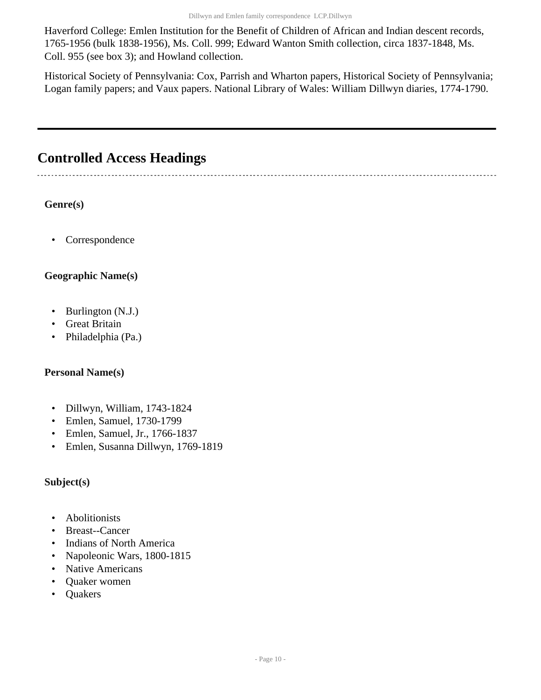Haverford College: Emlen Institution for the Benefit of Children of African and Indian descent records, 1765-1956 (bulk 1838-1956), Ms. Coll. 999; Edward Wanton Smith collection, circa 1837-1848, Ms. Coll. 955 (see box 3); and Howland collection.

Historical Society of Pennsylvania: Cox, Parrish and Wharton papers, Historical Society of Pennsylvania; Logan family papers; and Vaux papers. National Library of Wales: William Dillwyn diaries, 1774-1790.

## <span id="page-9-0"></span>**Controlled Access Headings**

### **Genre(s)**

• Correspondence

## **Geographic Name(s)**

- Burlington (N.J.)
- Great Britain
- Philadelphia (Pa.)

### **Personal Name(s)**

- Dillwyn, William, 1743-1824
- Emlen, Samuel, 1730-1799
- Emlen, Samuel, Jr., 1766-1837
- Emlen, Susanna Dillwyn, 1769-1819

### **Subject(s)**

- Abolitionists
- Breast--Cancer
- Indians of North America
- Napoleonic Wars, 1800-1815
- Native Americans
- Quaker women
- Quakers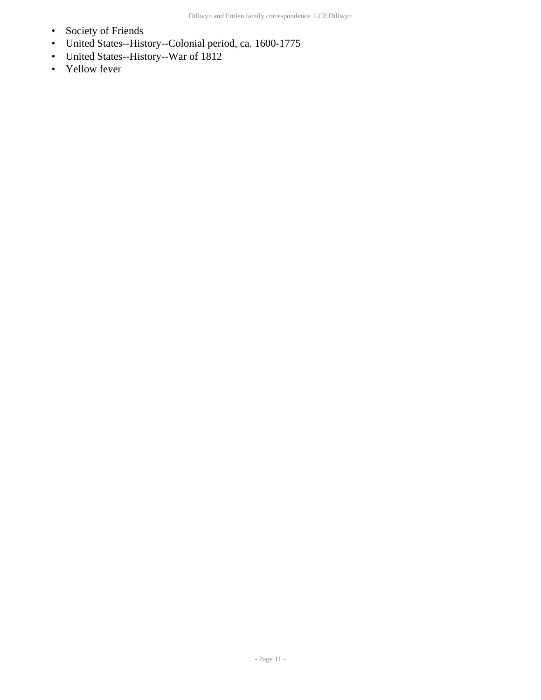- Society of Friends
- United States--History--Colonial period, ca. 1600-1775
- United States--History--War of 1812
- Yellow fever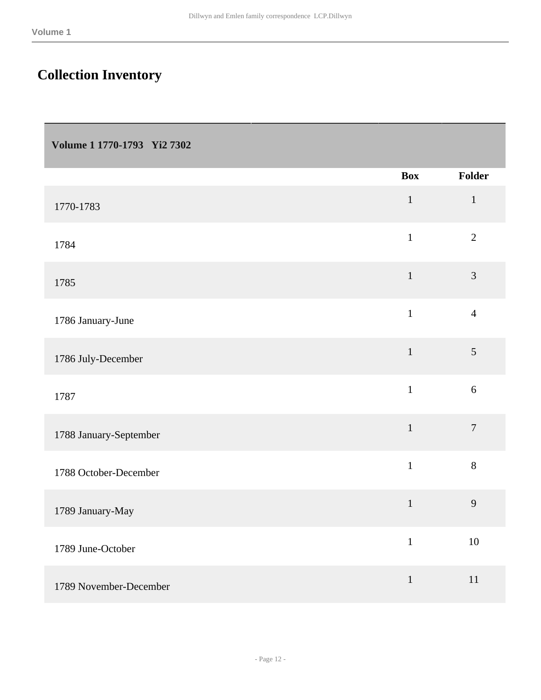## <span id="page-11-0"></span>**Collection Inventory**

<span id="page-11-1"></span>

|  | Volume 1 1770-1793 Yi2 7302 |  |
|--|-----------------------------|--|
|--|-----------------------------|--|

|                        | <b>Box</b>   | Folder           |
|------------------------|--------------|------------------|
| 1770-1783              | $\,1\,$      | $\mathbf{1}$     |
| 1784                   | $\mathbf{1}$ | $\overline{2}$   |
| 1785                   | $\mathbf 1$  | 3                |
| 1786 January-June      | $\mathbf{1}$ | $\overline{4}$   |
| 1786 July-December     | $\mathbf 1$  | $\sqrt{5}$       |
| 1787                   | $\mathbf{1}$ | $6\,$            |
| 1788 January-September | $\,1\,$      | $\boldsymbol{7}$ |
| 1788 October-December  | $\mathbf{1}$ | 8                |
| 1789 January-May       | $\mathbf{1}$ | 9                |
| 1789 June-October      | $\mathbf{1}$ | $10\,$           |
| 1789 November-December | $\,1\,$      | 11               |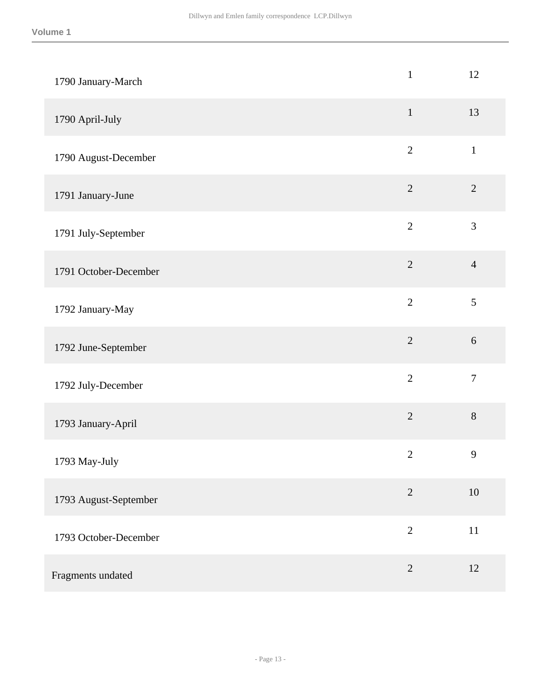| 1790 January-March    | $\mathbf{1}$   | 12               |
|-----------------------|----------------|------------------|
| 1790 April-July       | $\mathbf 1$    | 13               |
| 1790 August-December  | $\overline{2}$ | $\,1\,$          |
| 1791 January-June     | $\overline{2}$ | $\sqrt{2}$       |
| 1791 July-September   | $\overline{2}$ | $\mathfrak{Z}$   |
| 1791 October-December | $\overline{2}$ | $\overline{4}$   |
| 1792 January-May      | $\overline{2}$ | 5                |
| 1792 June-September   | $\overline{2}$ | 6                |
| 1792 July-December    | $\overline{2}$ | $\boldsymbol{7}$ |
| 1793 January-April    | $\overline{2}$ | $8\,$            |
| 1793 May-July         | $\mathbf{2}$   | $\mathbf{9}$     |
| 1793 August-September | $\overline{2}$ | $10\,$           |
| 1793 October-December | $\overline{2}$ | $11\,$           |
| Fragments undated     | $\overline{2}$ | 12               |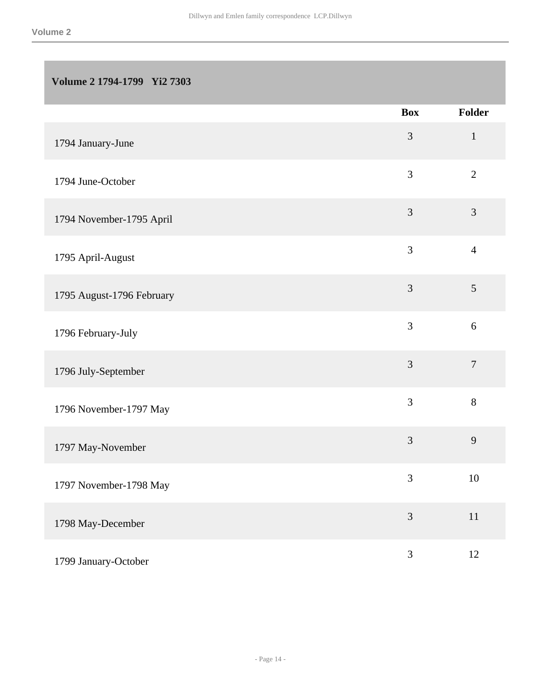### <span id="page-13-0"></span>**Volume 2 1794-1799 Yi2 7303**

|                           | <b>Box</b>     | Folder         |
|---------------------------|----------------|----------------|
| 1794 January-June         | $\mathfrak{Z}$ | $\mathbf{1}$   |
| 1794 June-October         | $\mathfrak{Z}$ | $\overline{2}$ |
| 1794 November-1795 April  | 3              | 3              |
| 1795 April-August         | 3              | $\overline{4}$ |
| 1795 August-1796 February | $\mathfrak{Z}$ | $\mathfrak{S}$ |
| 1796 February-July        | 3              | 6              |
| 1796 July-September       | $\mathfrak{Z}$ | $\overline{7}$ |
| 1796 November-1797 May    | 3              | 8              |
| 1797 May-November         | $\mathfrak{Z}$ | 9              |
| 1797 November-1798 May    | 3              | 10             |
| 1798 May-December         | 3              | $11\,$         |
| 1799 January-October      | $\mathfrak{Z}$ | $12\,$         |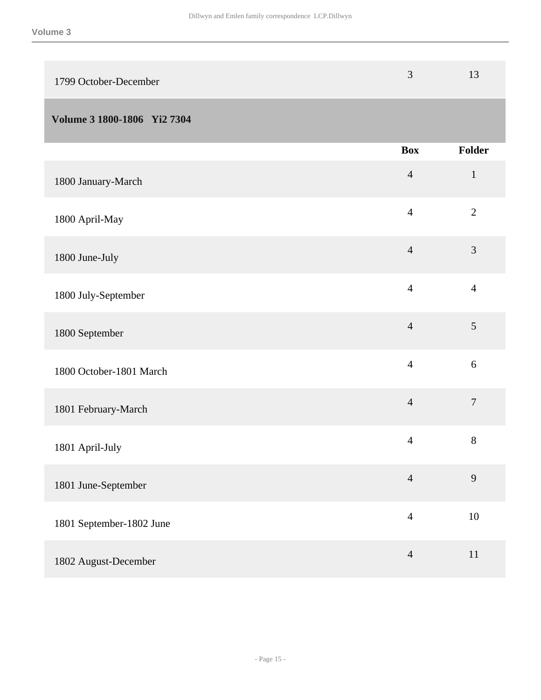<span id="page-14-0"></span>

| 1799 October-December       | $\mathfrak{Z}$ | 13               |
|-----------------------------|----------------|------------------|
| Volume 3 1800-1806 Yi2 7304 |                |                  |
|                             | <b>Box</b>     | Folder           |
| 1800 January-March          | $\overline{4}$ | $\mathbf{1}$     |
| 1800 April-May              | $\overline{4}$ | $\overline{2}$   |
| 1800 June-July              | $\overline{4}$ | 3                |
| 1800 July-September         | $\overline{4}$ | $\overline{4}$   |
| 1800 September              | $\overline{4}$ | 5                |
| 1800 October-1801 March     | $\overline{4}$ | 6                |
| 1801 February-March         | $\overline{4}$ | $\boldsymbol{7}$ |
| 1801 April-July             | $\overline{4}$ | $8\,$            |
| 1801 June-September         | $\overline{4}$ | 9                |
| 1801 September-1802 June    | $\overline{4}$ | 10               |
| 1802 August-December        | $\overline{4}$ | $11\,$           |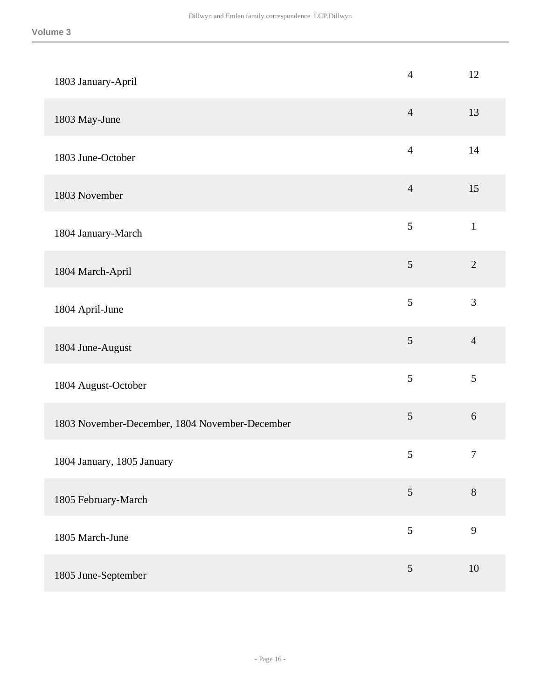| 1803 January-April                             | $\overline{4}$ | 12               |
|------------------------------------------------|----------------|------------------|
| 1803 May-June                                  | $\overline{4}$ | 13               |
| 1803 June-October                              | $\overline{4}$ | 14               |
| 1803 November                                  | $\overline{4}$ | 15               |
| 1804 January-March                             | 5              | $\mathbf 1$      |
| 1804 March-April                               | $\mathfrak{S}$ | $\sqrt{2}$       |
| 1804 April-June                                | 5              | 3                |
| 1804 June-August                               | $\mathfrak{S}$ | $\overline{4}$   |
| 1804 August-October                            | 5              | 5                |
| 1803 November-December, 1804 November-December | $\sqrt{5}$     | $\sqrt{6}$       |
| 1804 January, 1805 January                     | $\mathfrak s$  | $\boldsymbol{7}$ |
| 1805 February-March                            | 5              | $8\,$            |
| 1805 March-June                                | 5              | 9                |
| 1805 June-September                            | $\mathfrak{S}$ | 10               |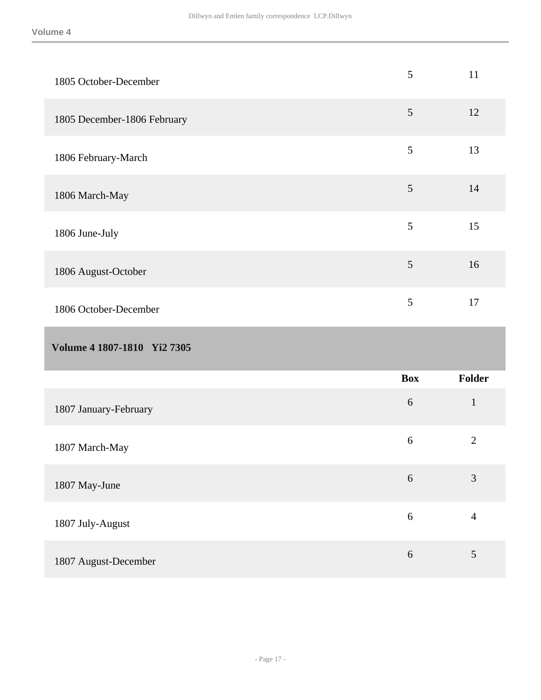<span id="page-16-0"></span>

| 1805 October-December       | $\mathfrak{S}$ | 11             |
|-----------------------------|----------------|----------------|
| 1805 December-1806 February | $\mathfrak{S}$ | 12             |
| 1806 February-March         | 5              | 13             |
| 1806 March-May              | $\mathfrak{S}$ | 14             |
| 1806 June-July              | 5              | 15             |
| 1806 August-October         | 5              | 16             |
| 1806 October-December       | 5              | 17             |
|                             |                |                |
| Volume 4 1807-1810 Yi2 7305 |                |                |
|                             | <b>Box</b>     | Folder         |
| 1807 January-February       | 6              | $\mathbf{1}$   |
| 1807 March-May              | 6              | $\overline{2}$ |
| 1807 May-June               | $\sqrt{6}$     | $\mathfrak{Z}$ |
| 1807 July-August            | $6\,$          | $\overline{4}$ |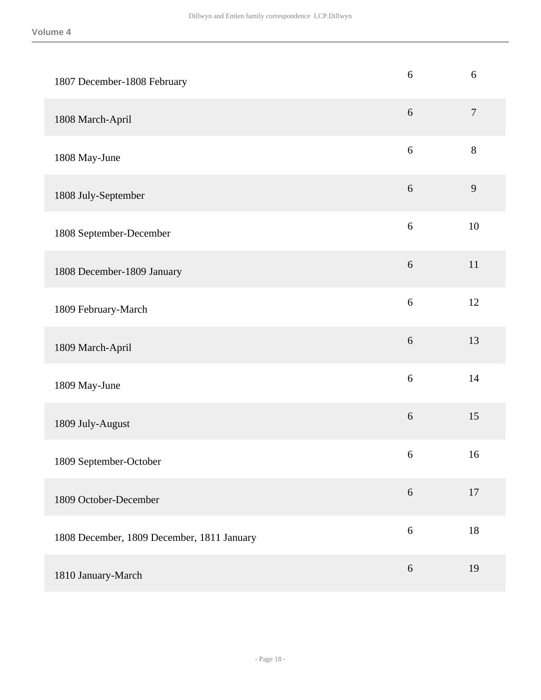| 1807 December-1808 February                | 6                | 6                |
|--------------------------------------------|------------------|------------------|
| 1808 March-April                           | $6\,$            | $\boldsymbol{7}$ |
| 1808 May-June                              | 6                | $8\,$            |
| 1808 July-September                        | $6\,$            | 9                |
| 1808 September-December                    | $\sqrt{6}$       | 10               |
| 1808 December-1809 January                 | $6\,$            | 11               |
| 1809 February-March                        | $\sqrt{6}$       | 12               |
| 1809 March-April                           | $\boldsymbol{6}$ | 13               |
| 1809 May-June                              | 6                | 14               |
| 1809 July-August                           | $\boldsymbol{6}$ | 15               |
| 1809 September-October                     | 6                | 16               |
| 1809 October-December                      | 6                | 17               |
| 1808 December, 1809 December, 1811 January | $\sqrt{6}$       | 18               |
| 1810 January-March                         | $\sqrt{6}$       | 19               |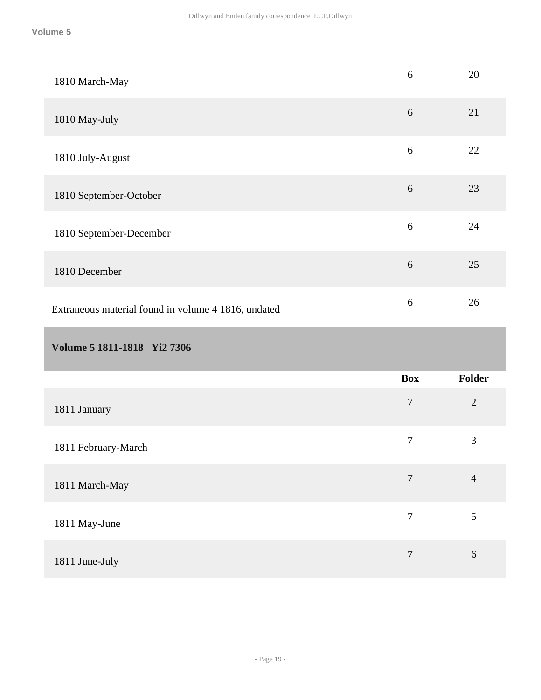<span id="page-18-0"></span>

| 1810 March-May                                      | 6                | 20             |
|-----------------------------------------------------|------------------|----------------|
| 1810 May-July                                       | $6\,$            | 21             |
| 1810 July-August                                    | $\sqrt{6}$       | 22             |
| 1810 September-October                              | $6\,$            | 23             |
| 1810 September-December                             | 6                | 24             |
| 1810 December                                       | $6\,$            | 25             |
| Extraneous material found in volume 4 1816, undated | $\sqrt{6}$       | 26             |
|                                                     |                  |                |
| Volume 5 1811-1818 Yi2 7306                         |                  |                |
|                                                     | <b>Box</b>       | <b>Folder</b>  |
| 1811 January                                        | $\boldsymbol{7}$ | $\overline{2}$ |
| 1811 February-March                                 | $\tau$           | 3              |
| 1811 March-May                                      | $\overline{7}$   | $\overline{4}$ |
| 1811 May-June                                       | $\overline{7}$   | 5              |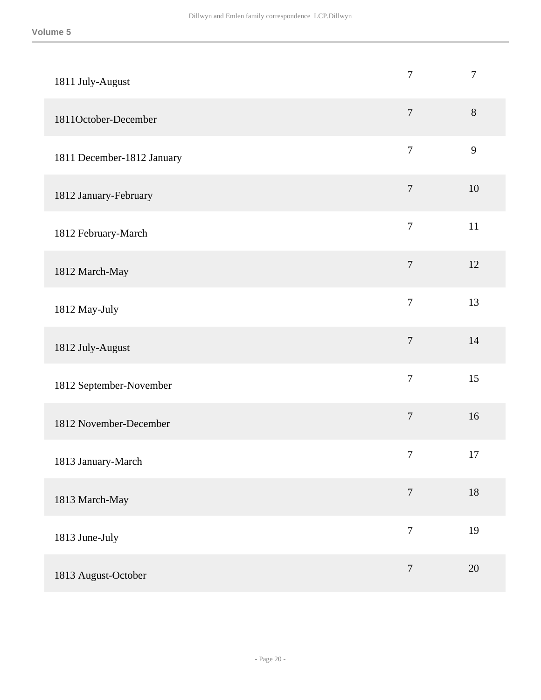| 1811 July-August           | $\overline{7}$   | $\boldsymbol{7}$ |
|----------------------------|------------------|------------------|
| 1811October-December       | $\overline{7}$   | $8\,$            |
| 1811 December-1812 January | $\overline{7}$   | 9                |
| 1812 January-February      | $\overline{7}$   | 10               |
| 1812 February-March        | $\tau$           | 11               |
| 1812 March-May             | $\overline{7}$   | 12               |
| 1812 May-July              | $\overline{7}$   | 13               |
| 1812 July-August           | $\overline{7}$   | 14               |
| 1812 September-November    | $\tau$           | 15               |
| 1812 November-December     | $\overline{7}$   | 16               |
| 1813 January-March         | $\tau$           | 17               |
| 1813 March-May             | $\overline{7}$   | $18\,$           |
| 1813 June-July             | $\overline{7}$   | 19               |
| 1813 August-October        | $\boldsymbol{7}$ | 20               |